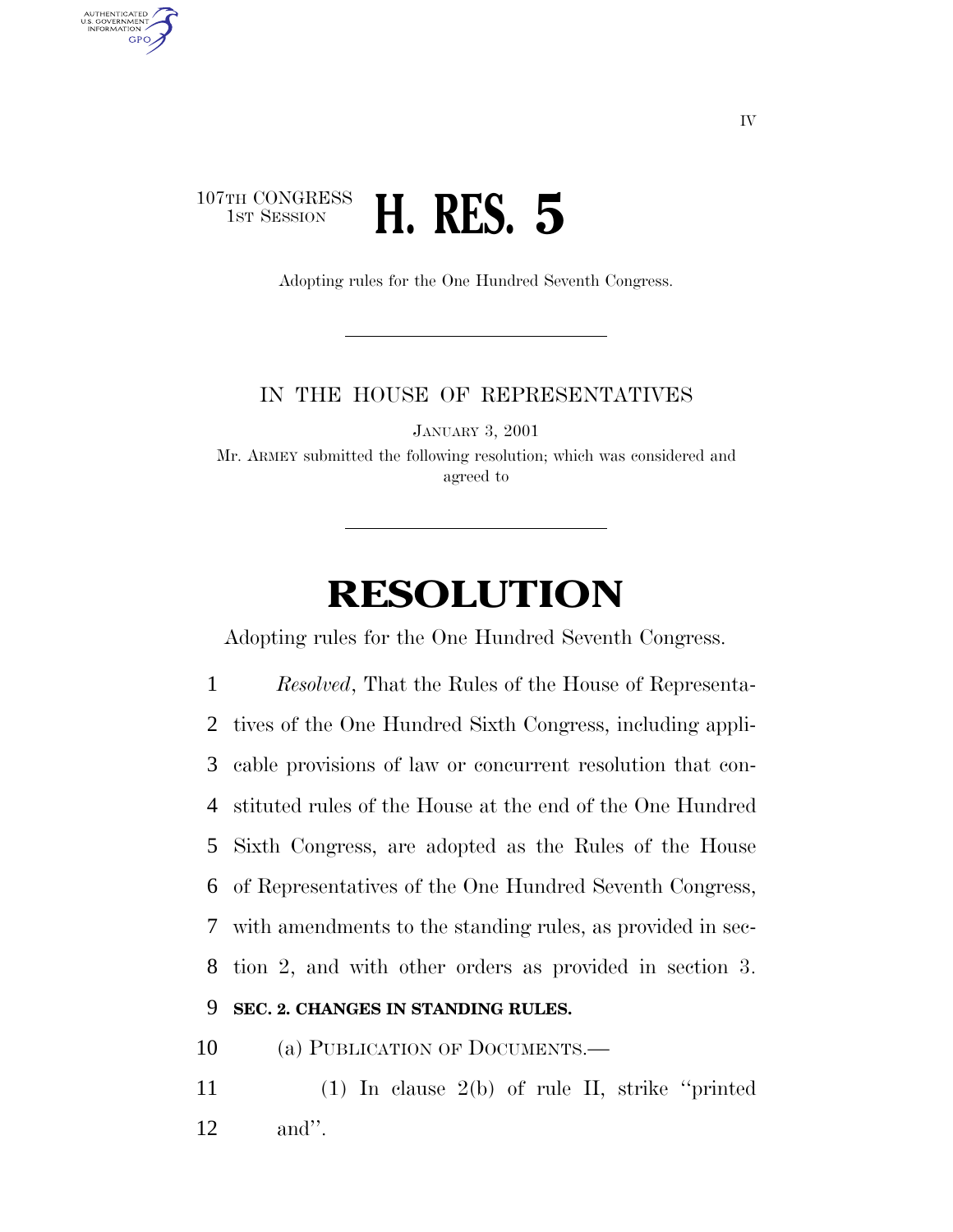## 107TH CONGRESS<br>1st Session 1ST SESSION **H. RES. 5**

AUTHENTICATED U.S. GOVERNMENT GPO

Adopting rules for the One Hundred Seventh Congress.

### IN THE HOUSE OF REPRESENTATIVES

JANUARY 3, 2001

Mr. ARMEY submitted the following resolution; which was considered and agreed to

# **RESOLUTION**

Adopting rules for the One Hundred Seventh Congress.

 *Resolved*, That the Rules of the House of Representa- tives of the One Hundred Sixth Congress, including appli- cable provisions of law or concurrent resolution that con- stituted rules of the House at the end of the One Hundred Sixth Congress, are adopted as the Rules of the House of Representatives of the One Hundred Seventh Congress, with amendments to the standing rules, as provided in sec- tion 2, and with other orders as provided in section 3. **SEC. 2. CHANGES IN STANDING RULES.**

10 (a) PUBLICATION OF DOCUMENTS.—

11 (1) In clause 2(b) of rule II, strike ''printed 12 and''.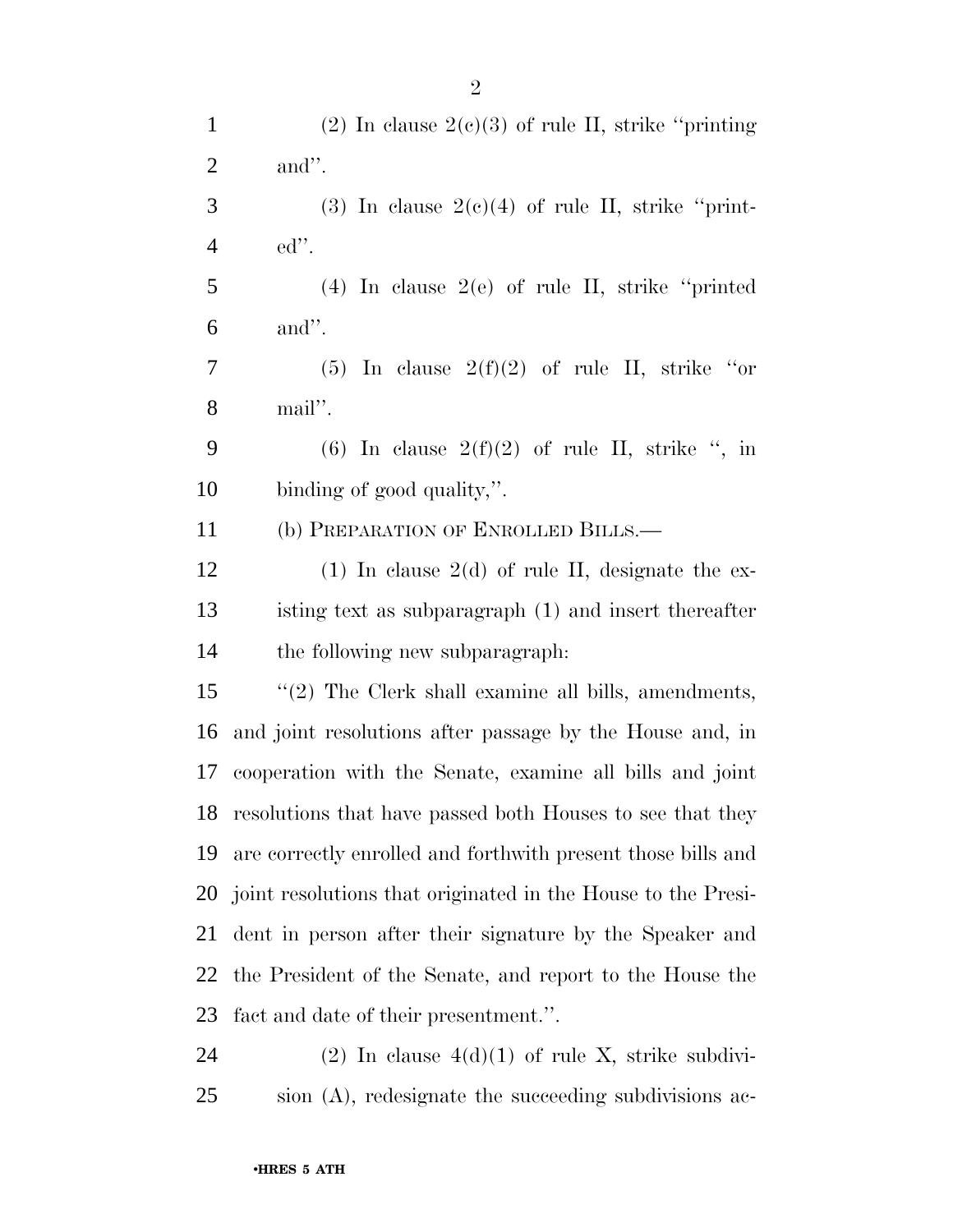| $\mathbf{1}$   | (2) In clause $2(e)(3)$ of rule II, strike "printing"        |
|----------------|--------------------------------------------------------------|
| $\overline{2}$ | and".                                                        |
| 3              | (3) In clause $2(e)(4)$ of rule II, strike "print-           |
| $\overline{4}$ | $ed$ ".                                                      |
| 5              | $(4)$ In clause $2(e)$ of rule II, strike "printed"          |
| 6              | and".                                                        |
| 7              | (5) In clause $2(f)(2)$ of rule II, strike "or               |
| 8              | mail".                                                       |
| 9              | (6) In clause $2(f)(2)$ of rule II, strike ", in             |
| 10             | binding of good quality,".                                   |
| 11             | (b) PREPARATION OF ENROLLED BILLS.—                          |
| 12             | $(1)$ In clause 2(d) of rule II, designate the ex-           |
| 13             | isting text as subparagraph (1) and insert thereafter        |
| 14             | the following new subparagraph.                              |
| 15             | $\lq(2)$ The Clerk shall examine all bills, amendments,      |
| 16             | and joint resolutions after passage by the House and, in     |
| 17             | cooperation with the Senate, examine all bills and joint     |
|                | 18 resolutions that have passed both Houses to see that they |
| 19             | are correctly enrolled and forthwith present those bills and |
| 20             | joint resolutions that originated in the House to the Presi- |
| 21             | dent in person after their signature by the Speaker and      |
| 22             | the President of the Senate, and report to the House the     |
| 23             | fact and date of their presentment.".                        |
| 24             | (2) In clause $4(d)(1)$ of rule X, strike subdivi-           |

sion (A), redesignate the succeeding subdivisions ac-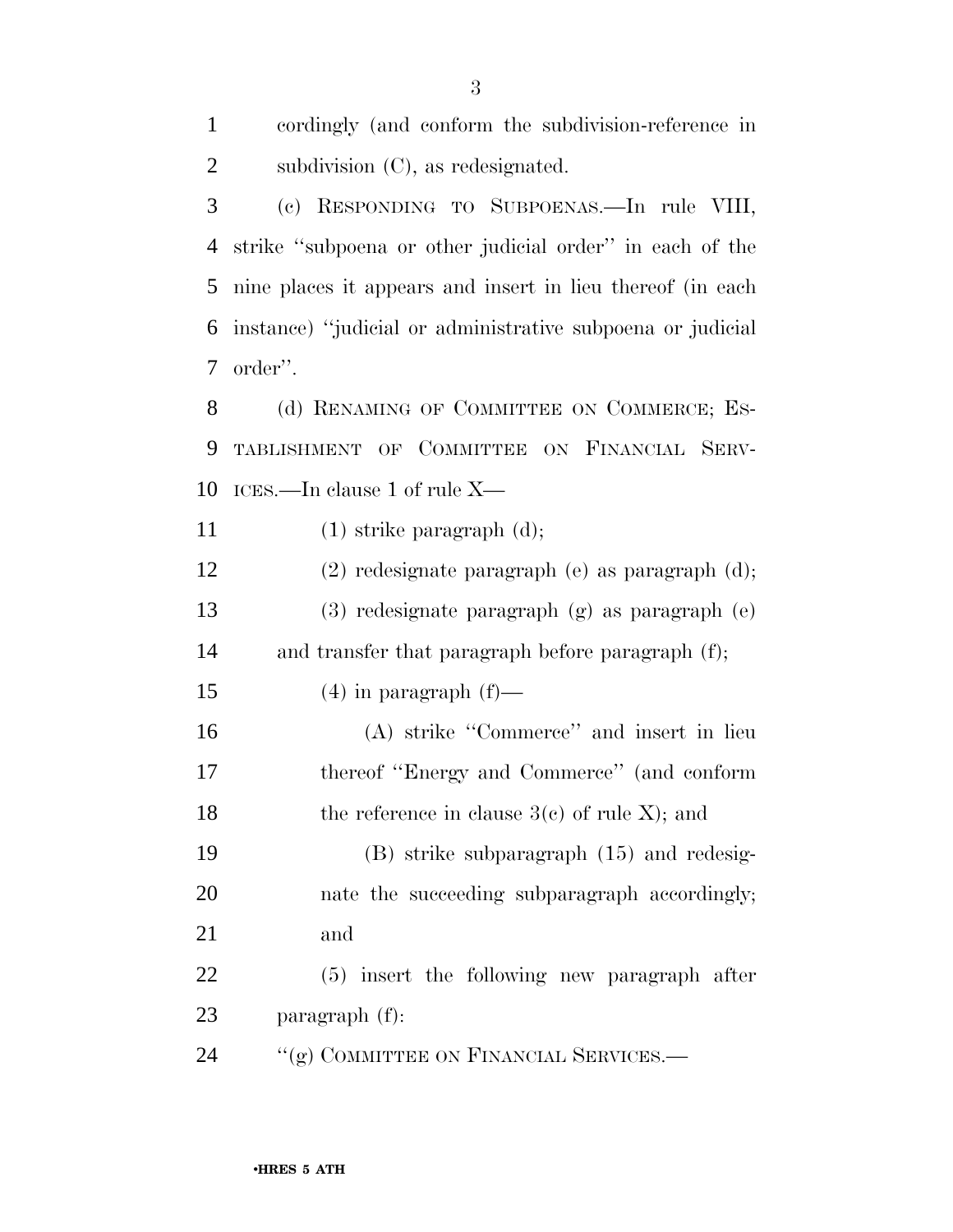| $\mathbf{1}$   | cordingly (and conform the subdivision-reference in        |
|----------------|------------------------------------------------------------|
| $\overline{2}$ | subdivision $(C)$ , as redesignated.                       |
| 3              | (c) RESPONDING TO SUBPOENAS.—In rule VIII,                 |
| $\overline{4}$ | strike "subpoena or other judicial order" in each of the   |
| 5              | nine places it appears and insert in lieu thereof (in each |
| 6              | instance) "judicial or administrative subpoena or judicial |
| 7              | order".                                                    |
| 8              | (d) RENAMING OF COMMITTEE ON COMMERCE; ES-                 |
| 9              | TABLISHMENT OF COMMITTEE ON FINANCIAL SERV-                |
| 10             | ICES.—In clause 1 of rule X—                               |
| 11             | $(1)$ strike paragraph $(d)$ ;                             |
| 12             | (2) redesignate paragraph (e) as paragraph (d);            |
| 13             | (3) redesignate paragraph (g) as paragraph (e)             |
| 14             | and transfer that paragraph before paragraph (f);          |
| 15             | $(4)$ in paragraph $(f)$ —                                 |
| 16             | (A) strike "Commerce" and insert in lieu                   |
| 17             | thereof "Energy and Commerce" (and conform                 |
| 18             | the reference in clause $3(c)$ of rule X); and             |
| 19             | $(B)$ strike subparagraph $(15)$ and redesig-              |
| 20             | nate the succeeding subparagraph accordingly;              |
| 21             | and                                                        |
| 22             | (5) insert the following new paragraph after               |
| 23             | paragraph (f):                                             |
| 24             | "(g) COMMITTEE ON FINANCIAL SERVICES.-                     |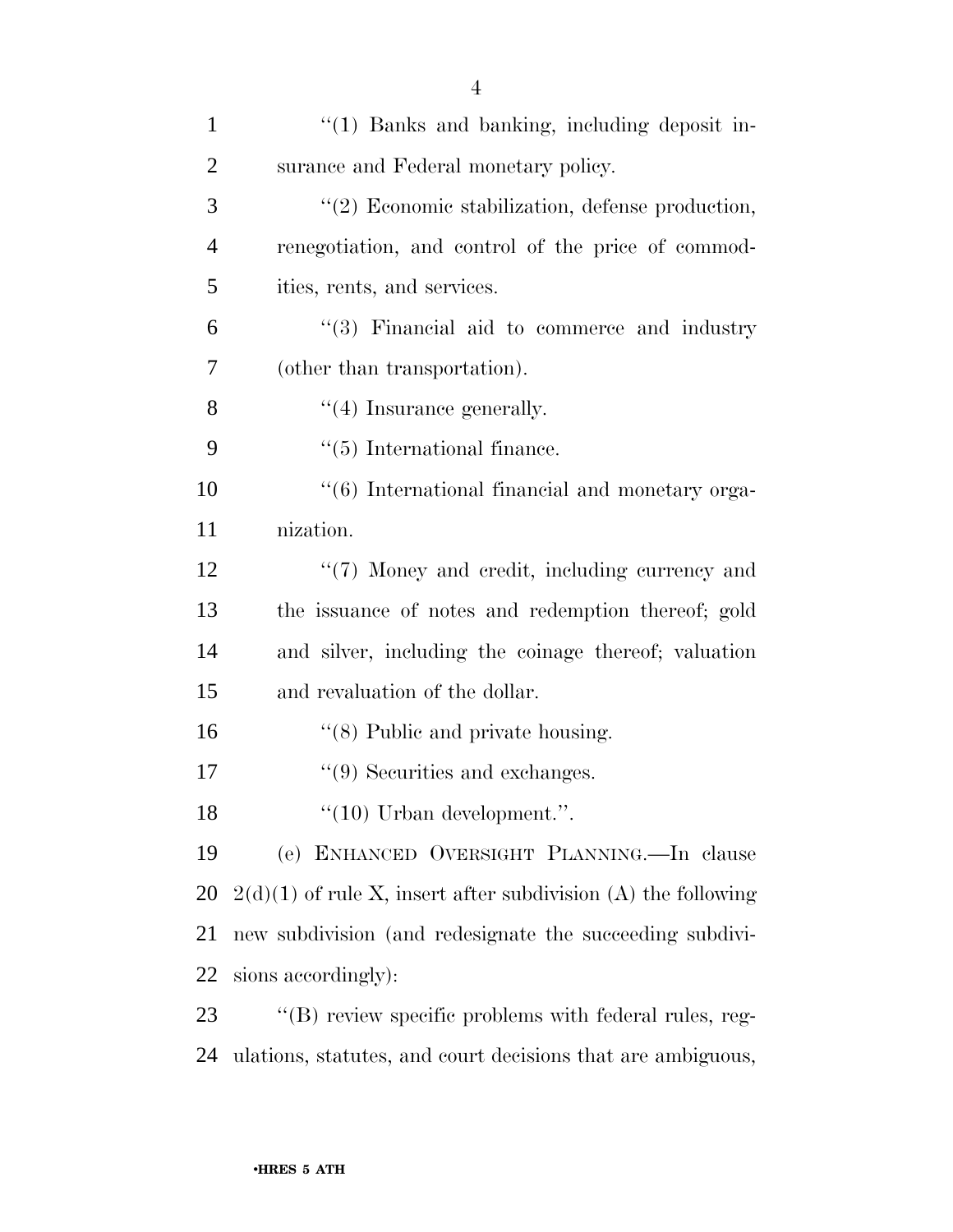| $\mathbf{1}$   | "(1) Banks and banking, including deposit in-                   |
|----------------|-----------------------------------------------------------------|
| $\overline{2}$ | surance and Federal monetary policy.                            |
| 3              | "(2) Economic stabilization, defense production,                |
| $\overline{4}$ | renegotiation, and control of the price of commod-              |
| 5              | ities, rents, and services.                                     |
| 6              | "(3) Financial aid to commerce and industry                     |
| 7              | (other than transportation).                                    |
| 8              | $\lq(4)$ Insurance generally.                                   |
| 9              | $\lq(5)$ International finance.                                 |
| 10             | "(6) International financial and monetary orga-                 |
| 11             | nization.                                                       |
| 12             | "(7) Money and credit, including currency and                   |
| 13             | the issuance of notes and redemption thereof; gold              |
| 14             | and silver, including the coinage thereof; valuation            |
| 15             | and revaluation of the dollar.                                  |
| 16             | $\cdot$ (8) Public and private housing.                         |
| 17             | $\lq(9)$ Securities and exchanges.                              |
| 18             | $``(10)$ Urban development.".                                   |
| 19             | (e) ENHANCED OVERSIGHT PLANNING.—In clause                      |
| 20             | $2(d)(1)$ of rule X, insert after subdivision (A) the following |
| 21             | new subdivision (and redesignate the succeeding subdivi-        |
| 22             | sions accordingly):                                             |
| 23             | "(B) review specific problems with federal rules, reg-          |
| 24             | ulations, statutes, and court decisions that are ambiguous,     |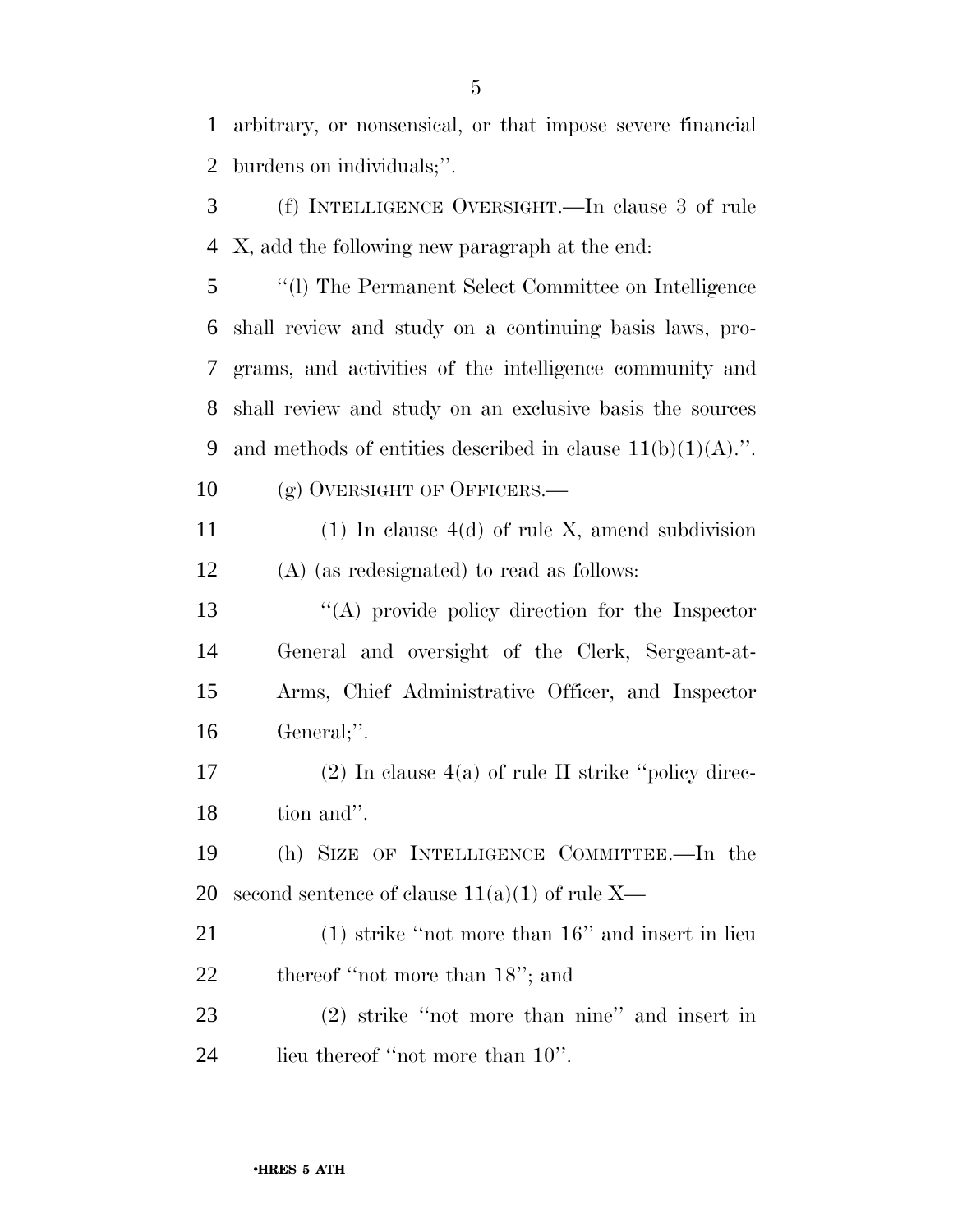arbitrary, or nonsensical, or that impose severe financial burdens on individuals;''.

 (f) INTELLIGENCE OVERSIGHT.—In clause 3 of rule X, add the following new paragraph at the end:

 ''(l) The Permanent Select Committee on Intelligence shall review and study on a continuing basis laws, pro- grams, and activities of the intelligence community and shall review and study on an exclusive basis the sources 9 and methods of entities described in clause  $11(b)(1)(A)$ .". 10 (g) OVERSIGHT OF OFFICERS.—

11 (1) In clause  $4(d)$  of rule X, amend subdivision (A) (as redesignated) to read as follows:

 ''(A) provide policy direction for the Inspector General and oversight of the Clerk, Sergeant-at- Arms, Chief Administrative Officer, and Inspector General;''.

17 (2) In clause  $4(a)$  of rule II strike "policy direc-tion and''.

 (h) SIZE OF INTELLIGENCE COMMITTEE.—In the 20 second sentence of clause  $11(a)(1)$  of rule X—

 (1) strike ''not more than 16'' and insert in lieu 22 thereof "not more than 18"; and

 (2) strike ''not more than nine'' and insert in 24 lieu thereof "not more than 10".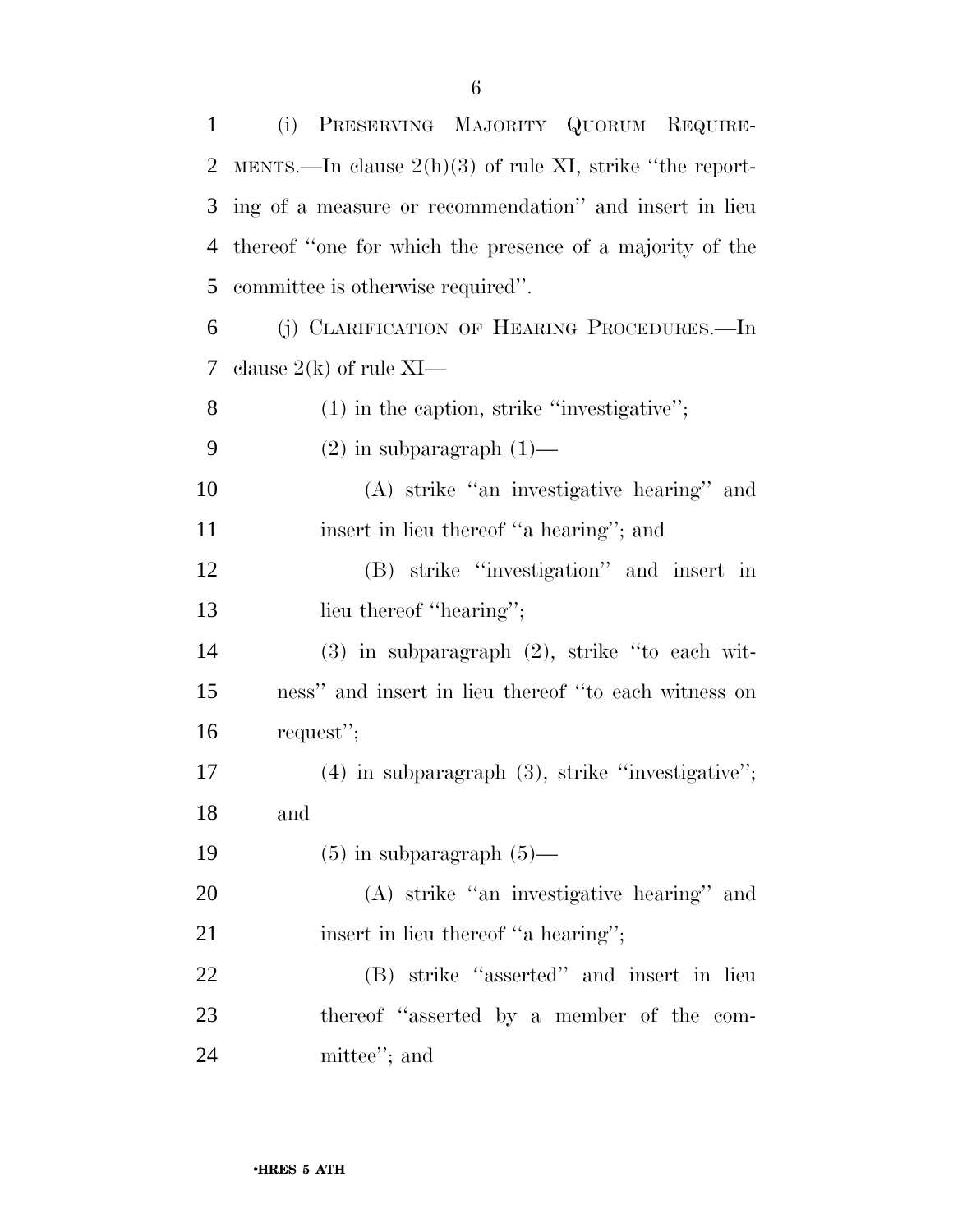| $\mathbf{1}$ | (i) PRESERVING MAJORITY QUORUM REQUIRE-                    |
|--------------|------------------------------------------------------------|
| 2            | MENTS.—In clause $2(h)(3)$ of rule XI, strike "the report- |
| 3            | ing of a measure or recommendation" and insert in lieu     |
| 4            | thereof "one for which the presence of a majority of the   |
| 5            | committee is otherwise required".                          |
| 6            | (j) CLARIFICATION OF HEARING PROCEDURES.—In                |
| 7            | clause $2(k)$ of rule XI—                                  |
| 8            | $(1)$ in the caption, strike "investigative";              |
| 9            | $(2)$ in subparagraph $(1)$ —                              |
| 10           | (A) strike "an investigative hearing" and                  |
| 11           | insert in lieu thereof "a hearing"; and                    |
| 12           | (B) strike "investigation" and insert in                   |
| 13           | lieu thereof "hearing";                                    |
| 14           | $(3)$ in subparagraph $(2)$ , strike "to each wit-         |
| 15           | ness" and insert in lieu thereof "to each witness on       |
| 16           | request";                                                  |
| 17           | $(4)$ in subparagraph $(3)$ , strike "investigative";      |
| 18           | and                                                        |
| 19           | $(5)$ in subparagraph $(5)$ —                              |
| 20           | (A) strike "an investigative hearing" and                  |
| 21           | insert in lieu thereof "a hearing";                        |
| 22           | (B) strike "asserted" and insert in lieu                   |
| 23           | thereof "asserted by a member of the com-                  |
| 24           | mittee"; and                                               |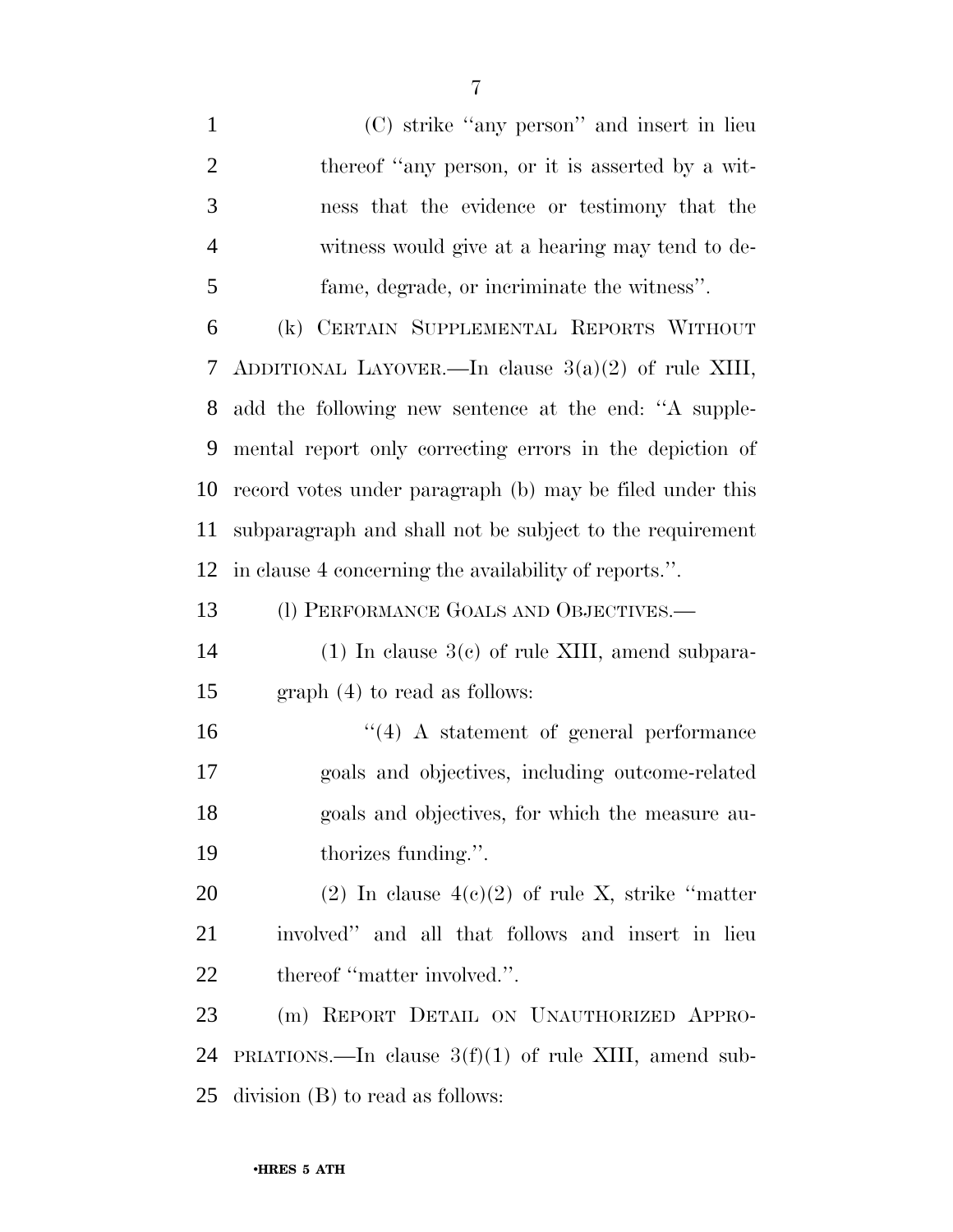(C) strike ''any person'' and insert in lieu 2 thereof "any person, or it is asserted by a wit- ness that the evidence or testimony that the witness would give at a hearing may tend to de- fame, degrade, or incriminate the witness''. (k) CERTAIN SUPPLEMENTAL REPORTS WITHOUT ADDITIONAL LAYOVER.—In clause 3(a)(2) of rule XIII, add the following new sentence at the end: ''A supple- mental report only correcting errors in the depiction of record votes under paragraph (b) may be filed under this subparagraph and shall not be subject to the requirement in clause 4 concerning the availability of reports.''. 13 (l) PERFORMANCE GOALS AND OBJECTIVES.— (1) In clause 3(c) of rule XIII, amend subpara- graph (4) to read as follows: ''(4) A statement of general performance goals and objectives, including outcome-related goals and objectives, for which the measure au-19 thorizes funding.". 20 (2) In clause  $4(c)(2)$  of rule X, strike "matter" involved'' and all that follows and insert in lieu 22 thereof "matter involved.". (m) REPORT DETAIL ON UNAUTHORIZED APPRO-24 PRIATIONS.—In clause  $3(f)(1)$  of rule XIII, amend sub-division (B) to read as follows: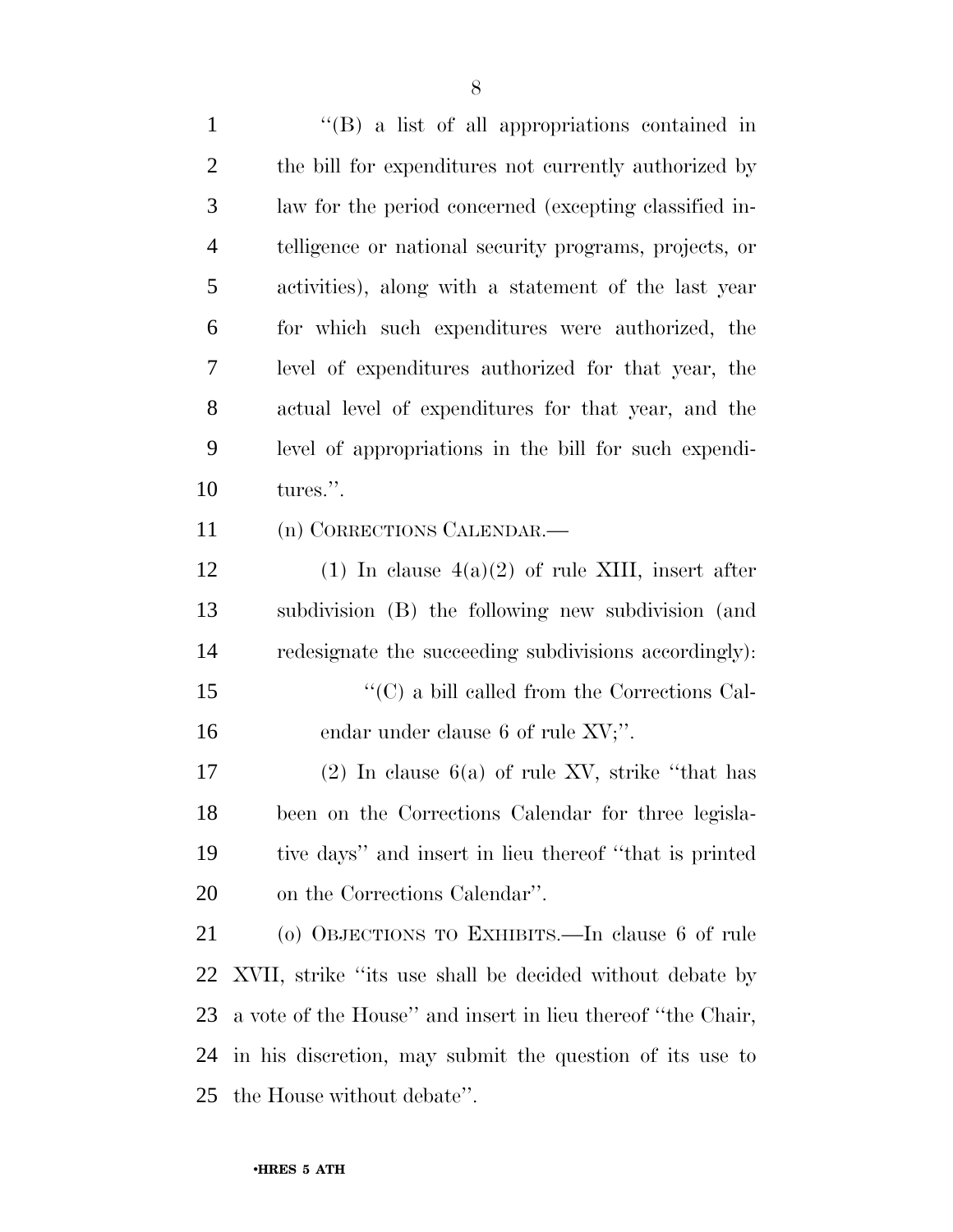''(B) a list of all appropriations contained in the bill for expenditures not currently authorized by law for the period concerned (excepting classified in- telligence or national security programs, projects, or activities), along with a statement of the last year for which such expenditures were authorized, the level of expenditures authorized for that year, the actual level of expenditures for that year, and the level of appropriations in the bill for such expendi- tures.''. (n) CORRECTIONS CALENDAR.— 12 (1) In clause  $4(a)(2)$  of rule XIII, insert after subdivision (B) the following new subdivision (and redesignate the succeeding subdivisions accordingly):  $\langle ^{\prime}(C)$  a bill called from the Corrections Cal-16 endar under clause 6 of rule XV;". 17 (2) In clause  $6(a)$  of rule XV, strike "that has been on the Corrections Calendar for three legisla- tive days'' and insert in lieu thereof ''that is printed on the Corrections Calendar''. (o) OBJECTIONS TO EXHIBITS.—In clause 6 of rule XVII, strike ''its use shall be decided without debate by a vote of the House'' and insert in lieu thereof ''the Chair, in his discretion, may submit the question of its use to the House without debate''.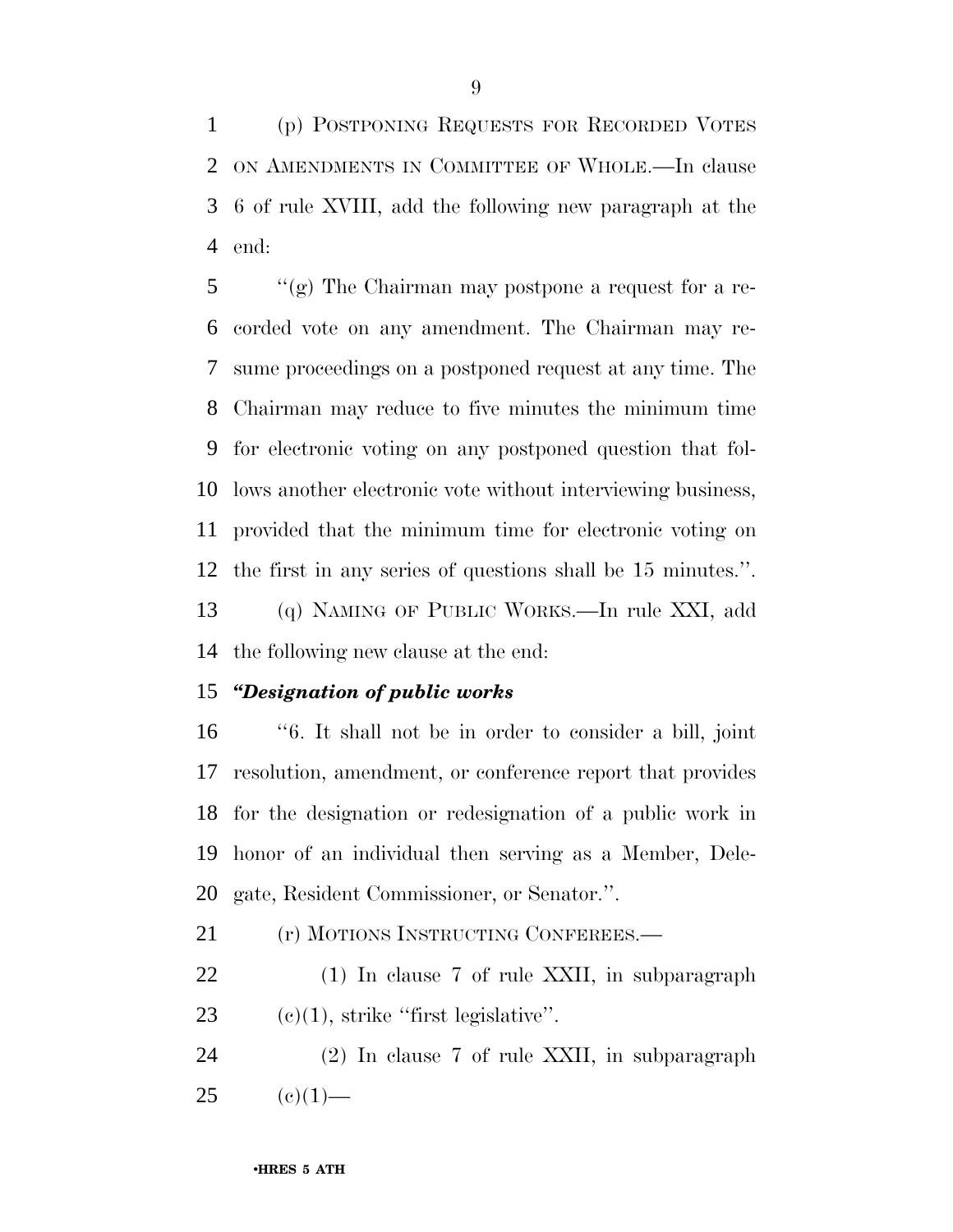(p) POSTPONING REQUESTS FOR RECORDED VOTES ON AMENDMENTS IN COMMITTEE OF WHOLE.—In clause 6 of rule XVIII, add the following new paragraph at the end:

 ''(g) The Chairman may postpone a request for a re- corded vote on any amendment. The Chairman may re- sume proceedings on a postponed request at any time. The Chairman may reduce to five minutes the minimum time for electronic voting on any postponed question that fol- lows another electronic vote without interviewing business, provided that the minimum time for electronic voting on the first in any series of questions shall be 15 minutes.''. (q) NAMING OF PUBLIC WORKS.—In rule XXI, add

the following new clause at the end:

## *''Designation of public works*

 ''6. It shall not be in order to consider a bill, joint resolution, amendment, or conference report that provides for the designation or redesignation of a public work in honor of an individual then serving as a Member, Dele-gate, Resident Commissioner, or Senator.''.

21 (r) MOTIONS INSTRUCTING CONFEREES.—

 (1) In clause 7 of rule XXII, in subparagraph 23  $(c)(1)$ , strike "first legislative".

 (2) In clause 7 of rule XXII, in subparagraph (e)(1)—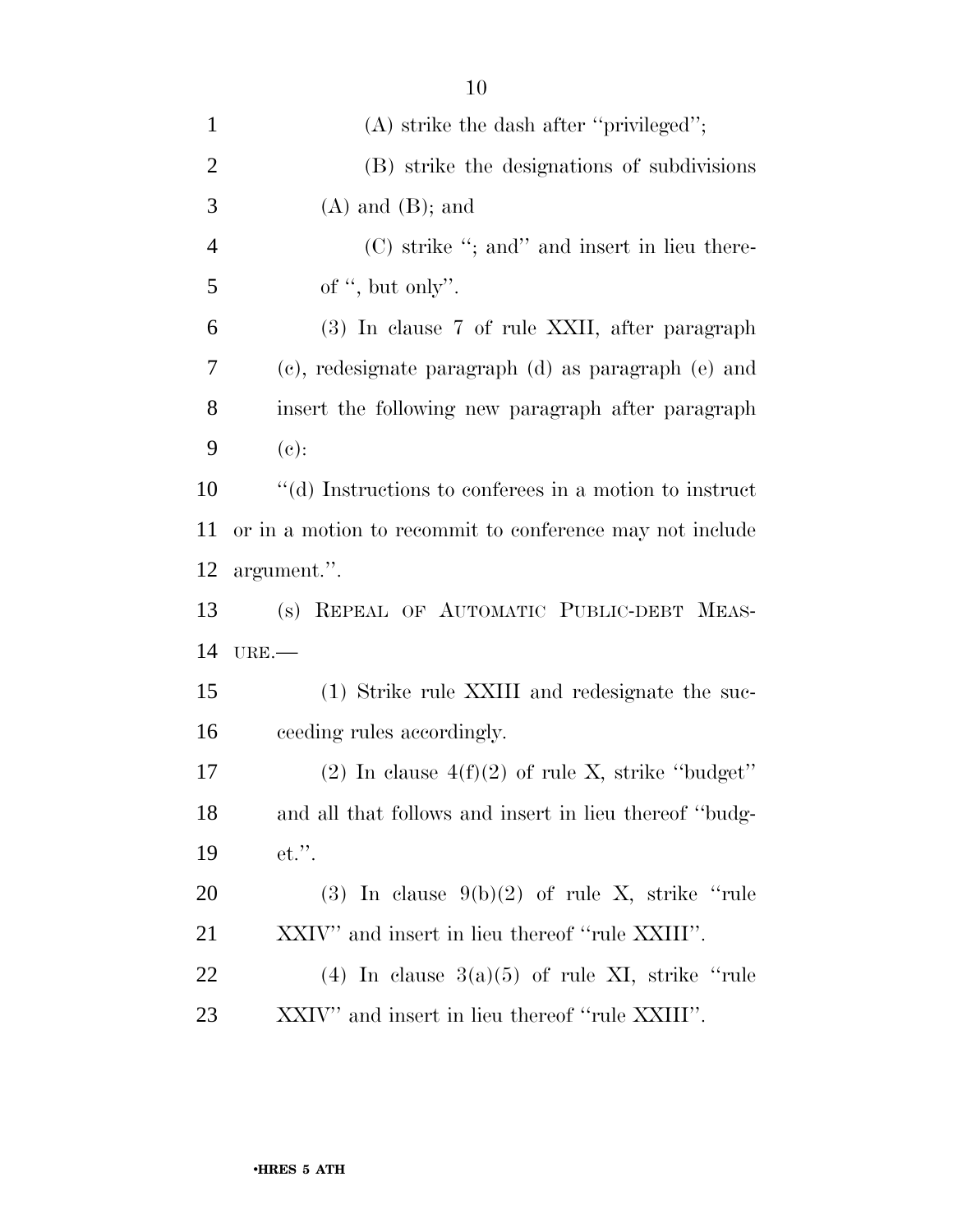| $\mathbf{1}$   | $(A)$ strike the dash after "privileged";                |
|----------------|----------------------------------------------------------|
| $\overline{2}$ | (B) strike the designations of subdivisions              |
| 3              | $(A)$ and $(B)$ ; and                                    |
| $\overline{4}$ | $(C)$ strike "; and" and insert in lieu there-           |
| 5              | of ", but only".                                         |
| 6              | (3) In clause 7 of rule XXII, after paragraph            |
| $\overline{7}$ | (c), redesignate paragraph (d) as paragraph (e) and      |
| 8              | insert the following new paragraph after paragraph       |
| 9              | $(e)$ :                                                  |
| 10             | "(d) Instructions to conferees in a motion to instruct   |
| 11             | or in a motion to recommit to conference may not include |
| 12             | argument.".                                              |
| 13             | (s) REPEAL OF AUTOMATIC PUBLIC-DEBT MEAS-                |
| 14             | URE.                                                     |
| 15             | (1) Strike rule XXIII and redesignate the suc-           |
| 16             | ceeding rules accordingly.                               |
| 17             | (2) In clause $4(f)(2)$ of rule X, strike "budget"       |
| 18             | and all that follows and insert in lieu thereof "budg-   |
| 19             | $et.$ ".                                                 |
| 20             | (3) In clause $9(b)(2)$ of rule X, strike "rule"         |
| 21             | XXIV" and insert in lieu thereof "rule XXIII".           |
| 22             | (4) In clause $3(a)(5)$ of rule XI, strike "rule         |
| 23             | XXIV" and insert in lieu thereof "rule XXIII".           |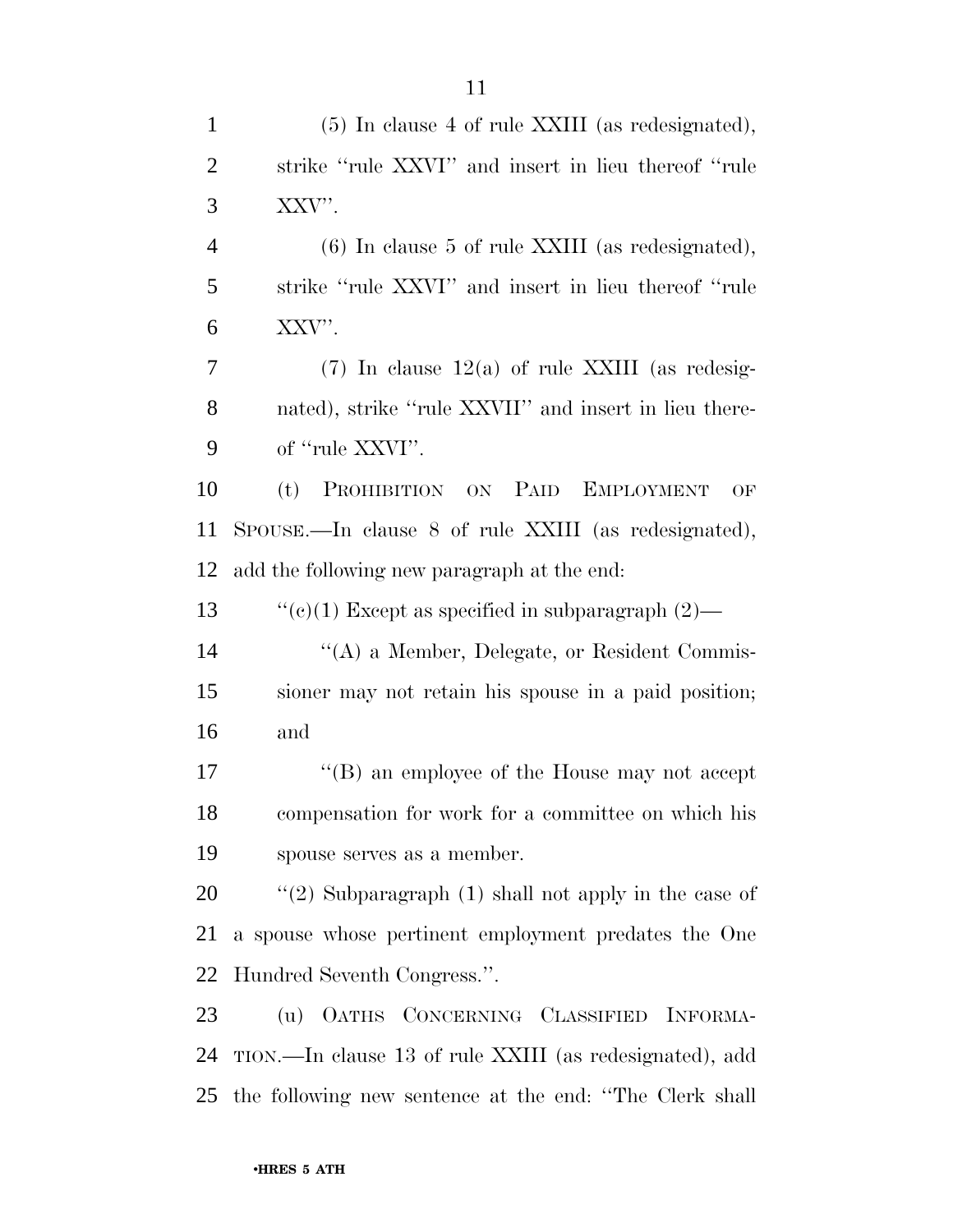| $\mathbf{1}$   | (5) In clause 4 of rule XXIII (as redesignated),        |
|----------------|---------------------------------------------------------|
| $\overline{2}$ | strike "rule XXVI" and insert in lieu thereof "rule     |
| 3              | XXV".                                                   |
| $\overline{4}$ | $(6)$ In clause 5 of rule XXIII (as redesignated),      |
| 5              | strike "rule XXVI" and insert in lieu thereof "rule     |
| 6              | XXV".                                                   |
| 7              | $(7)$ In clause 12(a) of rule XXIII (as redesig-        |
| 8              | nated), strike "rule XXVII" and insert in lieu there-   |
| 9              | of "rule XXVI".                                         |
| 10             | PROHIBITION ON PAID EMPLOYMENT<br>(t)<br>OF             |
| 11             | SPOUSE.—In clause 8 of rule XXIII (as redesignated),    |
| 12             | add the following new paragraph at the end:             |
| 13             | "(c)(1) Except as specified in subparagraph $(2)$ —     |
| 14             | "(A) a Member, Delegate, or Resident Commis-            |
| 15             | sioner may not retain his spouse in a paid position;    |
| 16             | and                                                     |
| 17             | "(B) an employee of the House may not accept            |
| 18             | compensation for work for a committee on which his      |
| 19             | spouse serves as a member.                              |
| 20             | "(2) Subparagraph $(1)$ shall not apply in the case of  |
| 21             | a spouse whose pertinent employment predates the One    |
| 22             | Hundred Seventh Congress.".                             |
| 23             | (u) OATHS CONCERNING CLASSIFIED INFORMA-                |
| 24             | TION.—In clause 13 of rule XXIII (as redesignated), add |
| 25             | the following new sentence at the end: "The Clerk shall |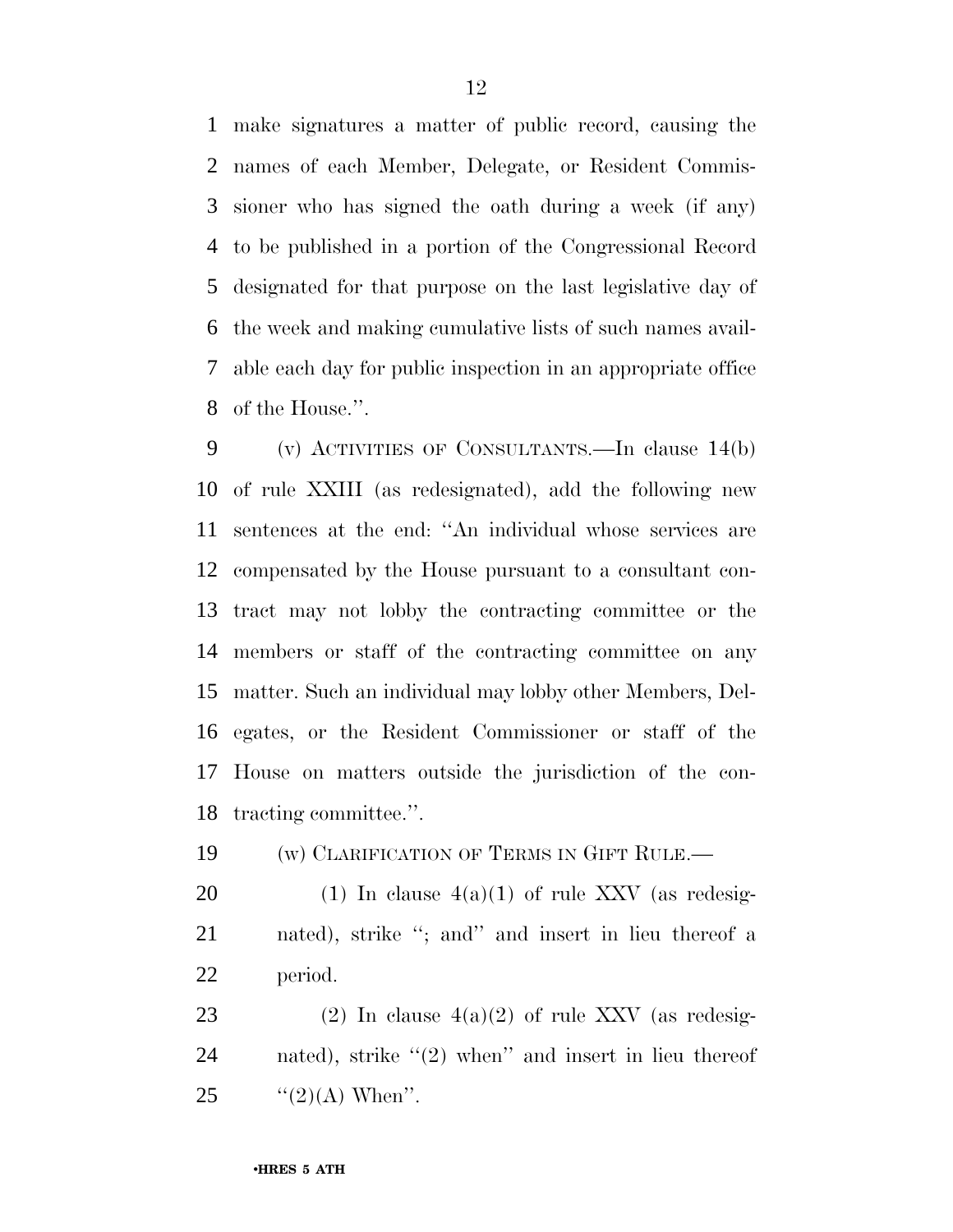make signatures a matter of public record, causing the names of each Member, Delegate, or Resident Commis- sioner who has signed the oath during a week (if any) to be published in a portion of the Congressional Record designated for that purpose on the last legislative day of the week and making cumulative lists of such names avail- able each day for public inspection in an appropriate office of the House.''.

 (v) ACTIVITIES OF CONSULTANTS.—In clause 14(b) of rule XXIII (as redesignated), add the following new sentences at the end: ''An individual whose services are compensated by the House pursuant to a consultant con- tract may not lobby the contracting committee or the members or staff of the contracting committee on any matter. Such an individual may lobby other Members, Del- egates, or the Resident Commissioner or staff of the House on matters outside the jurisdiction of the con-tracting committee.''.

19 (w) CLARIFICATION OF TERMS IN GIFT RULE.—

20 (1) In clause  $4(a)(1)$  of rule XXV (as redesig- nated), strike ''; and'' and insert in lieu thereof a period.

23 (2) In clause  $4(a)(2)$  of rule XXV (as redesig-24 nated), strike "(2) when" and insert in lieu thereof 25  $\frac{((2)(A) \text{ When}'}{(\text{?})^2}$ .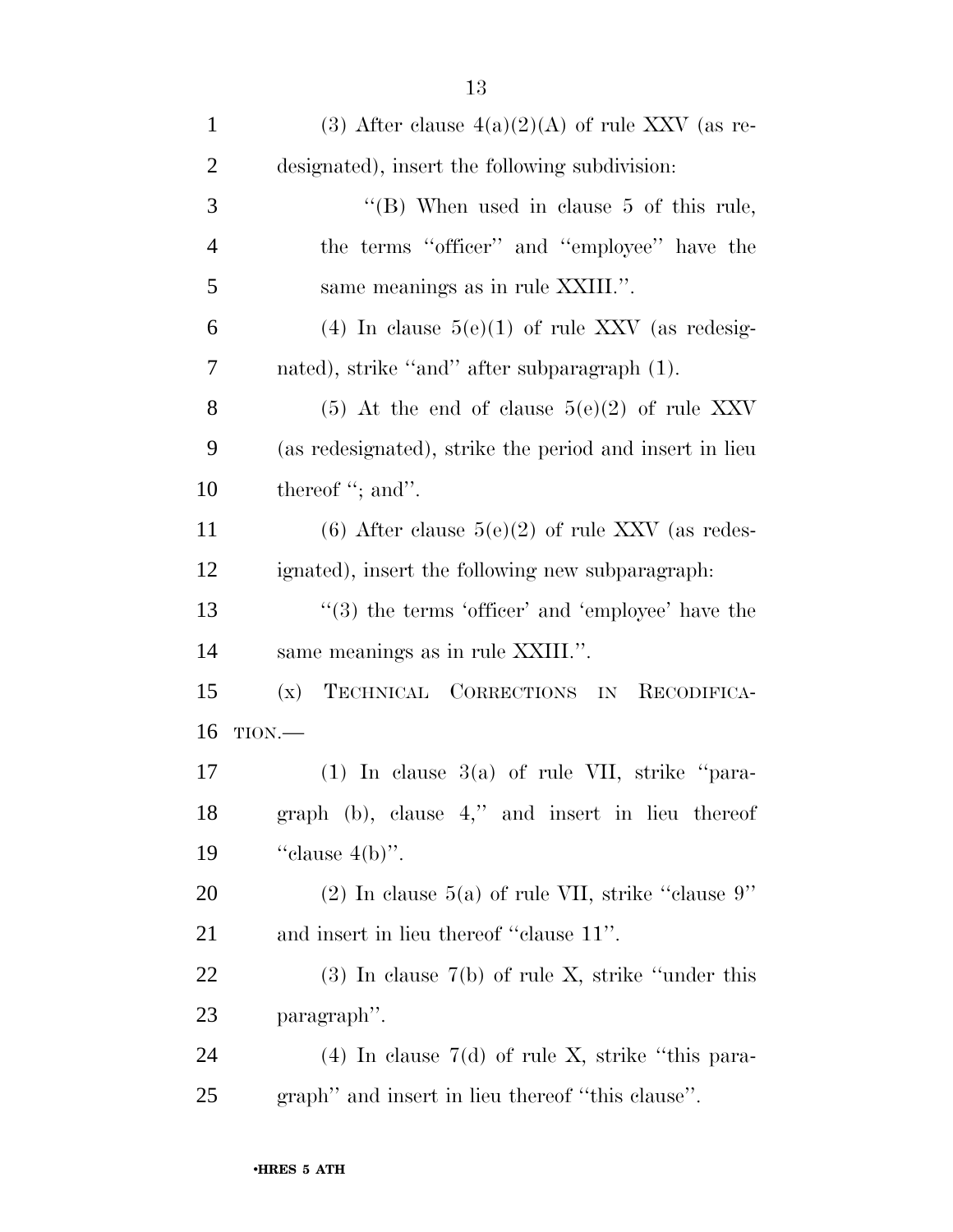| $\mathbf{1}$   | (3) After clause $4(a)(2)(A)$ of rule XXV (as re-       |
|----------------|---------------------------------------------------------|
| $\overline{2}$ | designated), insert the following subdivision:          |
| 3              | "(B) When used in clause 5 of this rule,                |
| $\overline{4}$ | the terms "officer" and "employee" have the             |
| 5              | same meanings as in rule XXIII.".                       |
| 6              | (4) In clause $5(e)(1)$ of rule XXV (as redesig-        |
| 7              | nated), strike "and" after subparagraph (1).            |
| 8              | $(5)$ At the end of clause $5(e)(2)$ of rule XXV        |
| 9              | (as redesignated), strike the period and insert in lieu |
| 10             | thereof "; and".                                        |
| 11             | (6) After clause $5(e)(2)$ of rule XXV (as redes-       |
| 12             | ignated), insert the following new subparagraph:        |
| 13             | $(3)$ the terms 'officer' and 'employee' have the       |
| 14             | same meanings as in rule XXIII.".                       |
| 15             | TECHNICAL CORRECTIONS IN<br>(x)<br>RECODIFICA-          |
| 16             | TION.                                                   |
| 17             | $(1)$ In clause 3(a) of rule VII, strike "para-         |
| 18             | graph (b), clause 4," and insert in lieu thereof        |
| 19             | "clause $4(b)$ ".                                       |
| 20             | $(2)$ In clause 5(a) of rule VII, strike "clause 9"     |
| 21             | and insert in lieu thereof "clause 11".                 |
| 22             | $(3)$ In clause 7(b) of rule X, strike "under this      |
| 23             | paragraph".                                             |
| 24             | $(4)$ In clause 7(d) of rule X, strike "this para-      |
| 25             | graph" and insert in lieu thereof "this clause".        |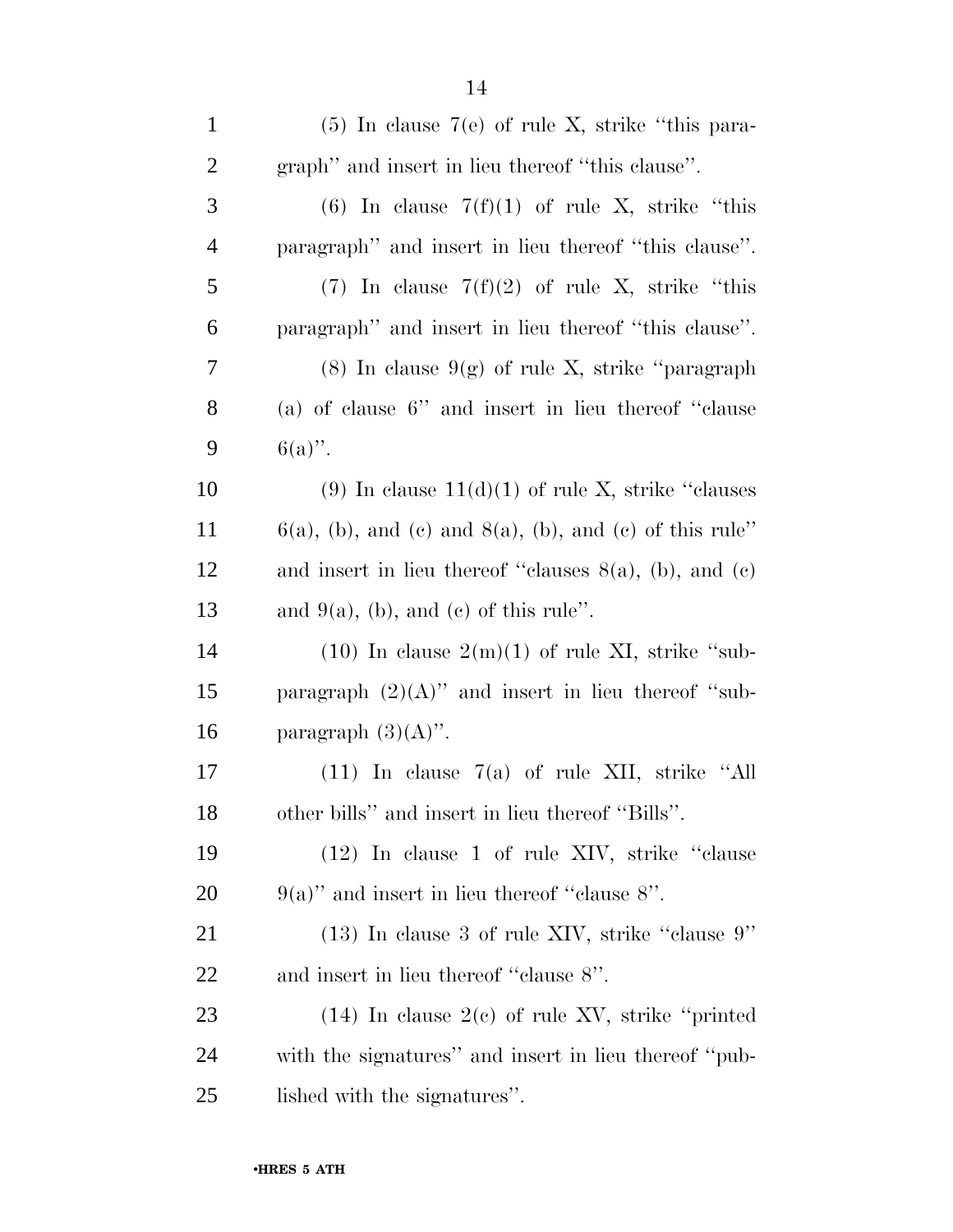| $\mathbf{1}$   | $(5)$ In clause 7(e) of rule X, strike "this para-            |
|----------------|---------------------------------------------------------------|
| $\overline{c}$ | graph" and insert in lieu thereof "this clause".              |
| 3              | (6) In clause $7(f)(1)$ of rule X, strike "this               |
| $\overline{4}$ | paragraph" and insert in lieu thereof "this clause".          |
| 5              | (7) In clause $7(f)(2)$ of rule X, strike "this               |
| 6              | paragraph" and insert in lieu thereof "this clause".          |
| 7              | $(8)$ In clause $9(g)$ of rule X, strike "paragraph"          |
| 8              | (a) of clause $6$ " and insert in lieu thereof "clause"       |
| 9              | $6(a)$ ".                                                     |
| 10             | (9) In clause $11(d)(1)$ of rule X, strike "clauses"          |
| 11             | $6(a)$ , (b), and (c) and $8(a)$ , (b), and (c) of this rule" |
| 12             | and insert in lieu thereof "clauses $8(a)$ , (b), and (c)     |
| 13             | and $9(a)$ , (b), and (c) of this rule".                      |
| 14             | $(10)$ In clause $2(m)(1)$ of rule XI, strike "sub-           |
| 15             | paragraph $(2)(A)$ " and insert in lieu thereof "sub-         |
| 16             | paragraph $(3)(A)$ ".                                         |
| 17             | $(11)$ In clause $7(a)$ of rule XII, strike "All              |
| 18             | other bills" and insert in lieu thereof "Bills".              |
| 19             | (12) In clause 1 of rule XIV, strike "clause"                 |
| 20             | $9(a)$ " and insert in lieu thereof "clause 8".               |
| 21             | $(13)$ In clause 3 of rule XIV, strike "clause 9"             |
| 22             | and insert in lieu thereof "clause 8".                        |
| 23             | $(14)$ In clause $2(e)$ of rule XV, strike "printed"          |
| 24             | with the signatures" and insert in lieu thereof "pub-         |
| 25             | lished with the signatures".                                  |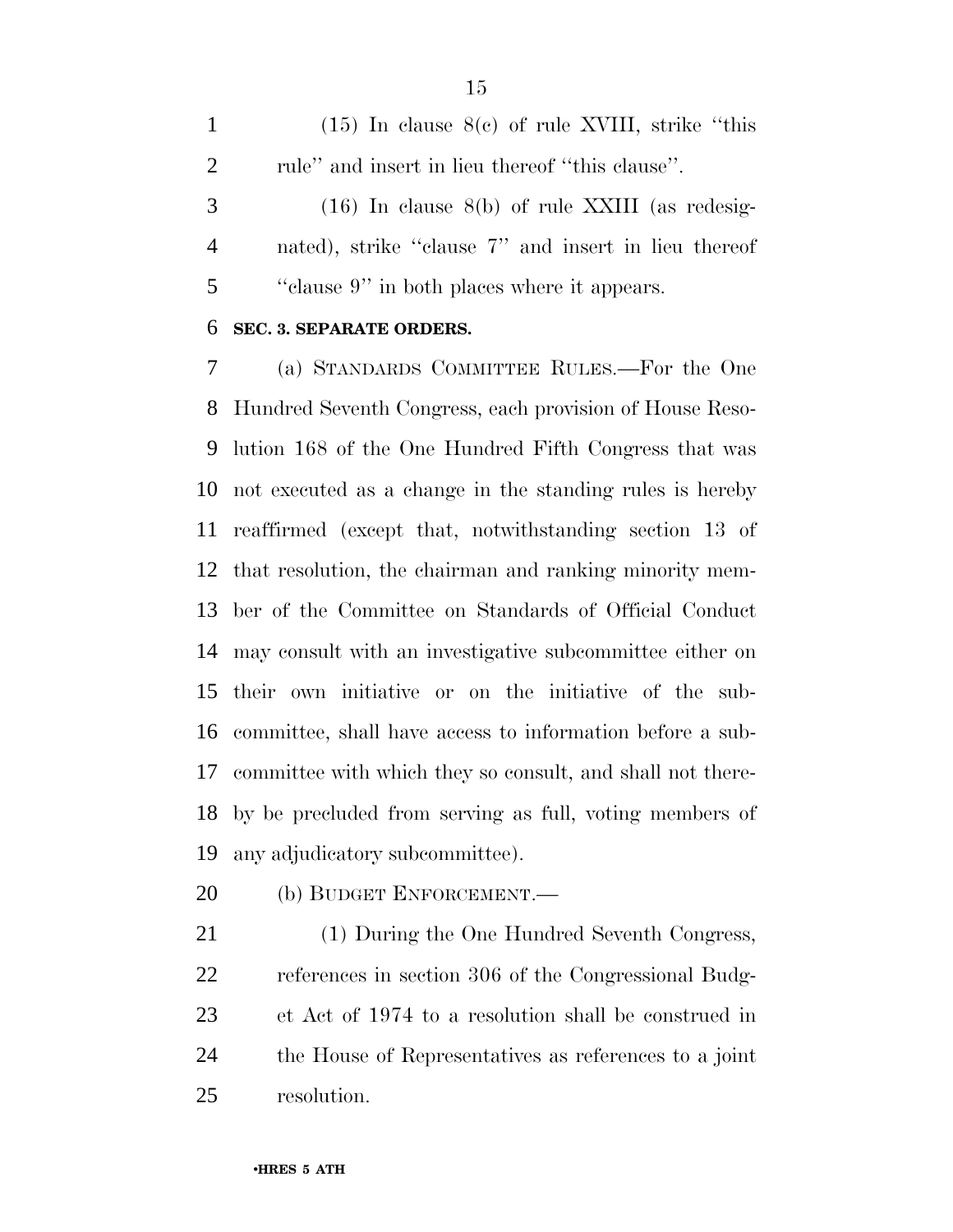(15) In clause 8(c) of rule XVIII, strike ''this 2 rule" and insert in lieu thereof "this clause".

 (16) In clause 8(b) of rule XXIII (as redesig- nated), strike ''clause 7'' and insert in lieu thereof ''clause 9'' in both places where it appears.

#### **SEC. 3. SEPARATE ORDERS.**

 (a) STANDARDS COMMITTEE RULES.—For the One Hundred Seventh Congress, each provision of House Reso- lution 168 of the One Hundred Fifth Congress that was not executed as a change in the standing rules is hereby reaffirmed (except that, notwithstanding section 13 of that resolution, the chairman and ranking minority mem- ber of the Committee on Standards of Official Conduct may consult with an investigative subcommittee either on their own initiative or on the initiative of the sub- committee, shall have access to information before a sub- committee with which they so consult, and shall not there- by be precluded from serving as full, voting members of any adjudicatory subcommittee).

(b) BUDGET ENFORCEMENT.—

 (1) During the One Hundred Seventh Congress, references in section 306 of the Congressional Budg- et Act of 1974 to a resolution shall be construed in the House of Representatives as references to a joint resolution.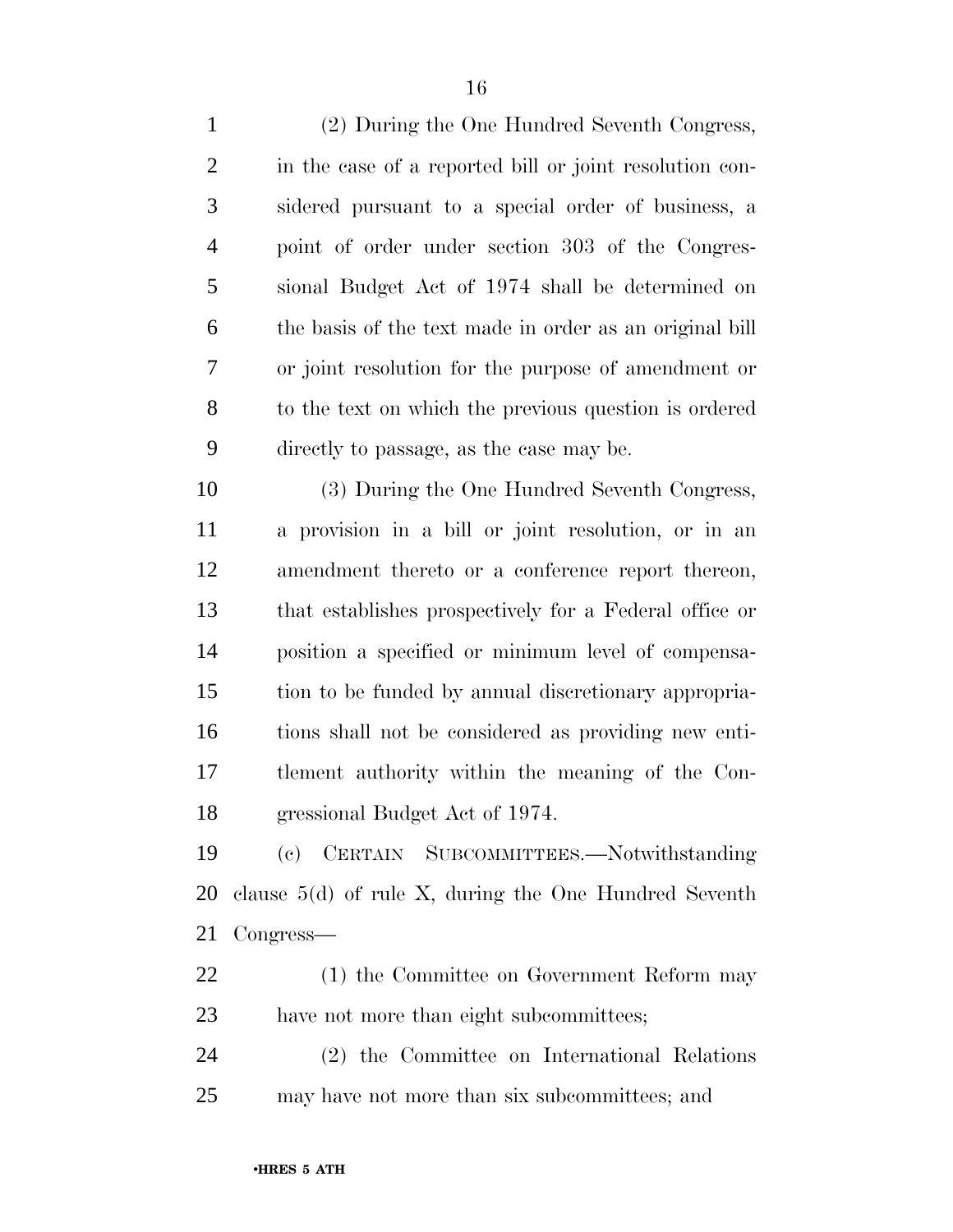| $\mathbf{1}$   | (2) During the One Hundred Seventh Congress,            |
|----------------|---------------------------------------------------------|
| $\mathbf{2}$   | in the case of a reported bill or joint resolution con- |
| $\mathfrak{Z}$ | sidered pursuant to a special order of business, a      |
| $\overline{4}$ | point of order under section 303 of the Congres-        |
| 5              | sional Budget Act of 1974 shall be determined on        |
| 6              | the basis of the text made in order as an original bill |
| 7              | or joint resolution for the purpose of amendment or     |
| 8              | to the text on which the previous question is ordered   |
| 9              | directly to passage, as the case may be.                |
| 10             | (3) During the One Hundred Seventh Congress,            |
| 11             | a provision in a bill or joint resolution, or in an     |
| 12             | amendment thereto or a conference report thereon,       |
| 13             | that establishes prospectively for a Federal office or  |
| 14             | position a specified or minimum level of compensa-      |
| 15             | tion to be funded by annual discretionary appropria-    |
| 16             | tions shall not be considered as providing new enti-    |
| 17             | tlement authority within the meaning of the Con-        |
| 18             | gressional Budget Act of 1974.                          |
| 19             | (c) CERTAIN SUBCOMMITTEES.—Notwithstanding              |
| 20             | clause $5(d)$ of rule X, during the One Hundred Seventh |
| 21             | Congress—                                               |
| 22             | (1) the Committee on Government Reform may              |
| 23             | have not more than eight subcommittees;                 |
| 24             | (2) the Committee on International Relations            |

may have not more than six subcommittees; and